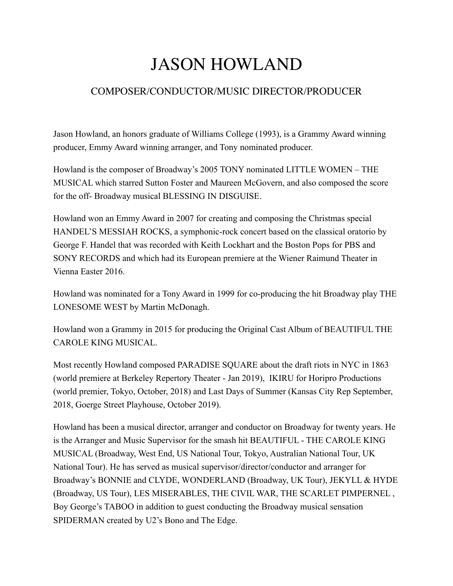## JASON HOWLAND

## COMPOSER/CONDUCTOR/MUSIC DIRECTOR/PRODUCER

Jason Howland, an honors graduate of Williams College (1993), is a Grammy Award winning producer, Emmy Award winning arranger, and Tony nominated producer.

Howland is the composer of Broadway's 2005 TONY nominated LITTLE WOMEN – THE MUSICAL which starred Sutton Foster and Maureen McGovern, and also composed the score for the off- Broadway musical BLESSING IN DISGUISE.

Howland won an Emmy Award in 2007 for creating and composing the Christmas special HANDEL'S MESSIAH ROCKS, a symphonic-rock concert based on the classical oratorio by George F. Handel that was recorded with Keith Lockhart and the Boston Pops for PBS and SONY RECORDS and which had its European premiere at the Wiener Raimund Theater in Vienna Easter 2016.

Howland was nominated for a Tony Award in 1999 for co-producing the hit Broadway play THE LONESOME WEST by Martin McDonagh.

Howland won a Grammy in 2015 for producing the Original Cast Album of BEAUTIFUL THE CAROLE KING MUSICAL.

Most recently Howland composed PARADISE SQUARE about the draft riots in NYC in 1863 (world premiere at Berkeley Repertory Theater - Jan 2019), IKIRU for Horipro Productions (world premier, Tokyo, October, 2018) and Last Days of Summer (Kansas City Rep September, 2018, Goerge Street Playhouse, October 2019).

Howland has been a musical director, arranger and conductor on Broadway for twenty years. He is the Arranger and Music Supervisor for the smash hit BEAUTIFUL - THE CAROLE KING MUSICAL (Broadway, West End, US National Tour, Tokyo, Australian National Tour, UK National Tour). He has served as musical supervisor/director/conductor and arranger for Broadway's BONNIE and CLYDE, WONDERLAND (Broadway, UK Tour), JEKYLL & HYDE (Broadway, US Tour), LES MISERABLES, THE CIVIL WAR, THE SCARLET PIMPERNEL , Boy George's TABOO in addition to guest conducting the Broadway musical sensation SPIDERMAN created by U2's Bono and The Edge.